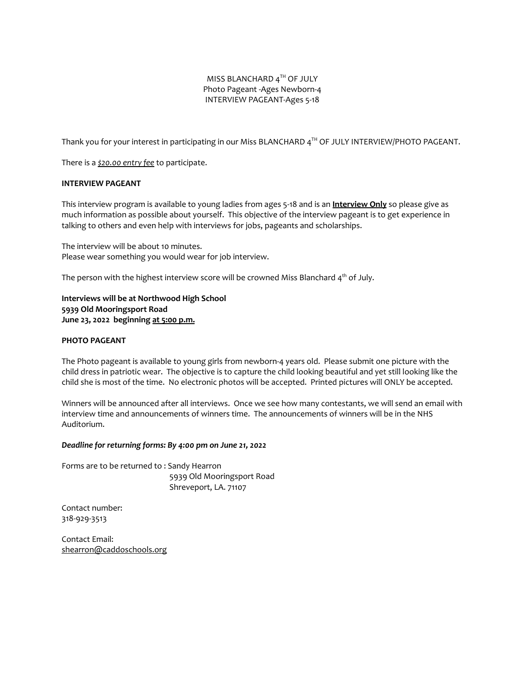### MISS BLANCHARD  $4^{\text{TH}}$  OF JULY Photo Pageant -Ages Newborn-4 INTERVIEW PAGEANT-Ages 5-18

Thank you for your interest in participating in our Miss BLANCHARD  $4^{\text{TH}}$  OF JULY INTERVIEW/PHOTO PAGEANT.

There is a *\$20.00 entry fee* to participate.

#### **INTERVIEW PAGEANT**

This interview program is available to young ladies from ages 5-18 and is an **Interview Only** so please give as much information as possible about yourself. This objective of the interview pageant is to get experience in talking to others and even help with interviews for jobs, pageants and scholarships.

The interview will be about 10 minutes. Please wear something you would wear for job interview.

The person with the highest interview score will be crowned Miss Blanchard  $\mathsf{4}^\text{th}$  of July.

**Interviews will be at Northwood High School 5939 Old Mooringsport Road June 23, 2022 beginning at 5:00 p.m.**

#### **PHOTO PAGEANT**

The Photo pageant is available to young girls from newborn-4 years old. Please submit one picture with the child dress in patriotic wear. The objective is to capture the child looking beautiful and yet still looking like the child she is most of the time. No electronic photos will be accepted. Printed pictures will ONLY be accepted.

Winners will be announced after all interviews. Once we see how many contestants, we will send an email with interview time and announcements of winners time. The announcements of winners will be in the NHS Auditorium.

#### *Deadline for returning forms: By 4:00 pm on June 21, 2022*

Forms are to be returned to : Sandy Hearron 5939 Old Mooringsport Road Shreveport, LA. 71107

Contact number: 318-929-3513

Contact Email: [shearron@caddoschools.org](mailto:shearron@caddoschools.org)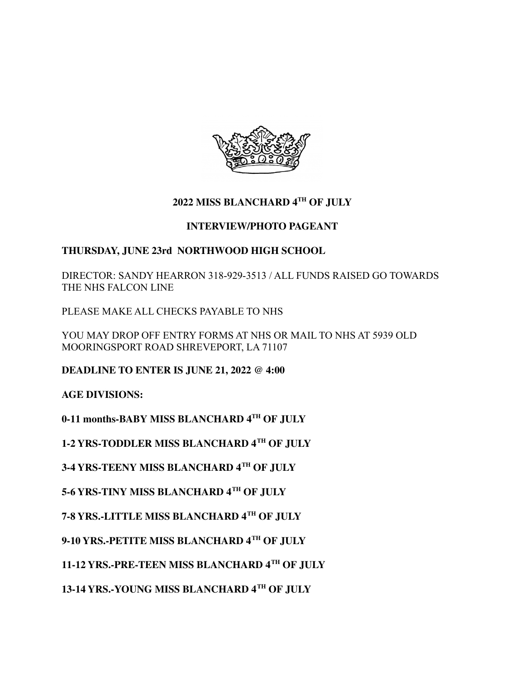

# **2022 MISS BLANCHARD 4 TH OF JULY**

## **INTERVIEW/PHOTO PAGEANT**

## **THURSDAY, JUNE 23rd NORTHWOOD HIGH SCHOOL**

DIRECTOR: SANDY HEARRON 318-929-3513 / ALL FUNDS RAISED GO TOWARDS THE NHS FALCON LINE

PLEASE MAKE ALL CHECKS PAYABLE TO NHS

YOU MAY DROP OFF ENTRY FORMS AT NHS OR MAIL TO NHS AT 5939 OLD MOORINGSPORT ROAD SHREVEPORT, LA 71107

**DEADLINE TO ENTER IS JUNE 21, 2022 @ 4:00**

**AGE DIVISIONS:**

**0-11 months-BABY MISS BLANCHARD 4TH OF JULY**

**1-2 YRS-TODDLER MISS BLANCHARD 4TH OF JULY**

**3-4 YRS-TEENY MISS BLANCHARD 4TH OF JULY**

**5-6 YRS-TINY MISS BLANCHARD 4 TH OF JULY**

**7-8 YRS.-LITTLE MISS BLANCHARD 4TH OF JULY**

**9-10 YRS.-PETITE MISS BLANCHARD 4TH OF JULY**

**11-12 YRS.-PRE-TEEN MISS BLANCHARD 4TH OF JULY**

**13-14 YRS.-YOUNG MISS BLANCHARD 4TH OF JULY**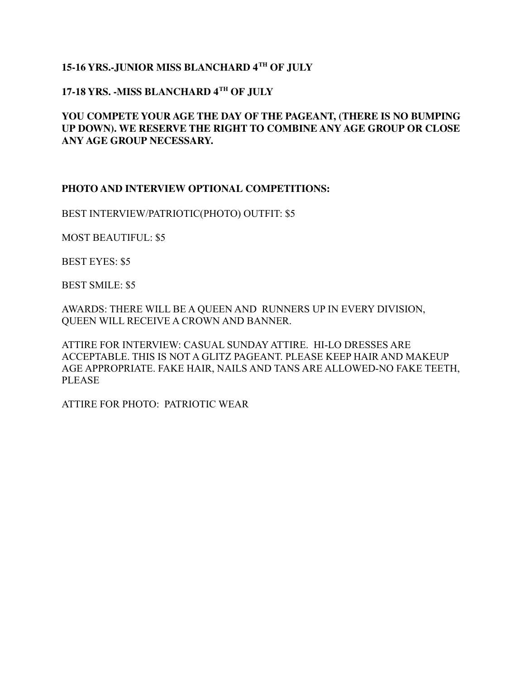# **15-16 YRS.-JUNIOR MISS BLANCHARD 4TH OF JULY**

# **17-18 YRS. -MISS BLANCHARD 4 TH OF JULY**

### **YOU COMPETE YOUR AGE THE DAY OF THE PAGEANT, (THERE IS NO BUMPING UP DOWN). WE RESERVE THE RIGHT TO COMBINE ANY AGE GROUP OR CLOSE ANY AGE GROUP NECESSARY.**

### **PHOTO AND INTERVIEW OPTIONAL COMPETITIONS:**

BEST INTERVIEW/PATRIOTIC(PHOTO) OUTFIT: \$5

MOST BEAUTIFUL: \$5

BEST EYES: \$5

BEST SMILE: \$5

AWARDS: THERE WILL BE A QUEEN AND RUNNERS UP IN EVERY DIVISION, QUEEN WILL RECEIVE A CROWN AND BANNER.

ATTIRE FOR INTERVIEW: CASUAL SUNDAY ATTIRE. HI-LO DRESSES ARE ACCEPTABLE. THIS IS NOT A GLITZ PAGEANT. PLEASE KEEP HAIR AND MAKEUP AGE APPROPRIATE. FAKE HAIR, NAILS AND TANS ARE ALLOWED-NO FAKE TEETH, PLEASE

ATTIRE FOR PHOTO: PATRIOTIC WEAR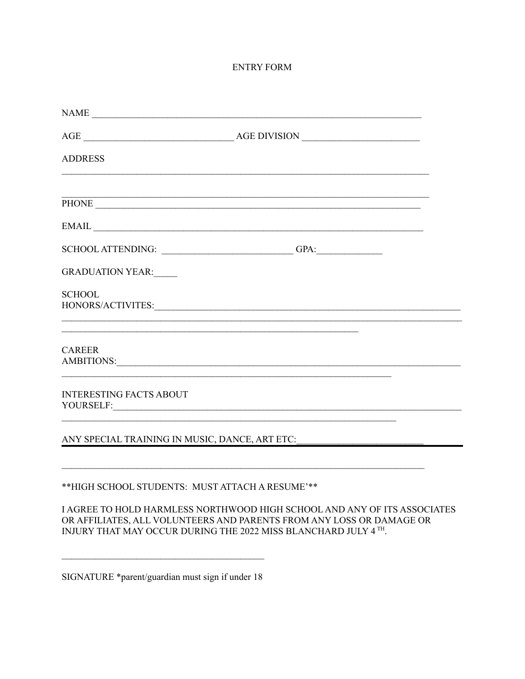### **ENTRY FORM**

| $\label{eq:1} \text{NAME} \underbrace{\hspace{0.5cm}}$                                                                                                                                                                                          |                                                                                                                                                                                                                                                                                                                                                                        |  |
|-------------------------------------------------------------------------------------------------------------------------------------------------------------------------------------------------------------------------------------------------|------------------------------------------------------------------------------------------------------------------------------------------------------------------------------------------------------------------------------------------------------------------------------------------------------------------------------------------------------------------------|--|
|                                                                                                                                                                                                                                                 |                                                                                                                                                                                                                                                                                                                                                                        |  |
| <b>ADDRESS</b>                                                                                                                                                                                                                                  |                                                                                                                                                                                                                                                                                                                                                                        |  |
|                                                                                                                                                                                                                                                 |                                                                                                                                                                                                                                                                                                                                                                        |  |
|                                                                                                                                                                                                                                                 | $EMAIL \begin{picture}(100,100) \put(0,0){\dashbox{0.5}(10,0){ }} \put(15,0){\dashbox{0.5}(10,0){ }} \put(15,0){\dashbox{0.5}(10,0){ }} \put(15,0){\dashbox{0.5}(10,0){ }} \put(15,0){\dashbox{0.5}(10,0){ }} \put(15,0){\dashbox{0.5}(10,0){ }} \put(15,0){\dashbox{0.5}(10,0){ }} \put(15,0){\dashbox{0.5}(10,0){ }} \put(15,0){\dashbox{0.5}(10,0){ }} \put(15,0){$ |  |
|                                                                                                                                                                                                                                                 |                                                                                                                                                                                                                                                                                                                                                                        |  |
| <b>GRADUATION YEAR:</b>                                                                                                                                                                                                                         |                                                                                                                                                                                                                                                                                                                                                                        |  |
| <b>SCHOOL</b>                                                                                                                                                                                                                                   |                                                                                                                                                                                                                                                                                                                                                                        |  |
| <b>CAREER</b><br>AMBITIONS: New York Contract the Contract of the Contract of the Contract of the Contract of the Contract of the Contract of the Contract of the Contract of the Contract of the Contract of the Contract of the Contract of t |                                                                                                                                                                                                                                                                                                                                                                        |  |
| <b>INTERESTING FACTS ABOUT</b>                                                                                                                                                                                                                  |                                                                                                                                                                                                                                                                                                                                                                        |  |
|                                                                                                                                                                                                                                                 | ANY SPECIAL TRAINING IN MUSIC, DANCE, ART ETC:                                                                                                                                                                                                                                                                                                                         |  |
| **HIGH SCHOOL STUDENTS: MUST ATTACH A RESUME'**                                                                                                                                                                                                 | <u> 1989 - Johann Stoff, amerikansk politiker (d. 1989)</u>                                                                                                                                                                                                                                                                                                            |  |

I AGREE TO HOLD HARMLESS NORTHWOOD HIGH SCHOOL AND ANY OF ITS ASSOCIATES OR AFFILIATES, ALL VOLUNTEERS AND PARENTS FROM ANY LOSS OR DAMAGE OR INJURY THAT MAY OCCUR DURING THE 2022 MISS BLANCHARD JULY 4  $^{\mathrm{TH}}$ 

SIGNATURE \*parent/guardian must sign if under 18